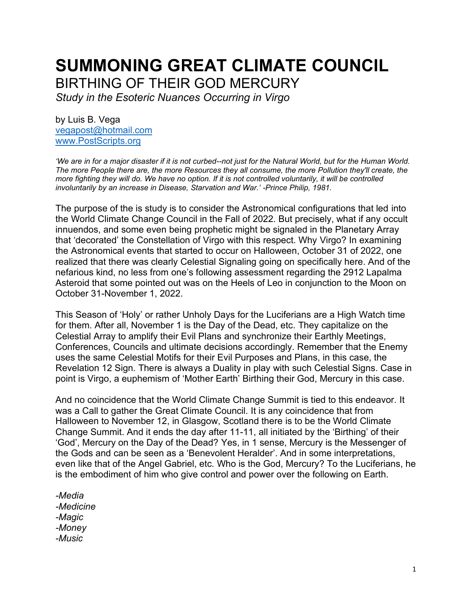# **SUMMONING GREAT CLIMATE COUNCIL** BIRTHING OF THEIR GOD MERCURY

*Study in the Esoteric Nuances Occurring in Virgo*

by Luis B. Vega [vegapost@hotmail.com](mailto:vegapost@hotmail.com) [www.PostScripts.org](http://www.postscripts.org/)

*'We are in for a major disaster if it is not curbed--not just for the Natural World, but for the Human World. The more People there are, the more Resources they all consume, the more Pollution they'll create, the more fighting they will do. We have no option. If it is not controlled voluntarily, it will be controlled involuntarily by an increase in Disease, Starvation and War.' -Prince Philip, 1981.*

The purpose of the is study is to consider the Astronomical configurations that led into the World Climate Change Council in the Fall of 2022. But precisely, what if any occult innuendos, and some even being prophetic might be signaled in the Planetary Array that 'decorated' the Constellation of Virgo with this respect. Why Virgo? In examining the Astronomical events that started to occur on Halloween, October 31 of 2022, one realized that there was clearly Celestial Signaling going on specifically here. And of the nefarious kind, no less from one's following assessment regarding the 2912 Lapalma Asteroid that some pointed out was on the Heels of Leo in conjunction to the Moon on October 31-November 1, 2022.

This Season of 'Holy' or rather Unholy Days for the Luciferians are a High Watch time for them. After all, November 1 is the Day of the Dead, etc. They capitalize on the Celestial Array to amplify their Evil Plans and synchronize their Earthly Meetings, Conferences, Councils and ultimate decisions accordingly. Remember that the Enemy uses the same Celestial Motifs for their Evil Purposes and Plans, in this case, the Revelation 12 Sign. There is always a Duality in play with such Celestial Signs. Case in point is Virgo, a euphemism of 'Mother Earth' Birthing their God, Mercury in this case.

And no coincidence that the World Climate Change Summit is tied to this endeavor. It was a Call to gather the Great Climate Council. It is any coincidence that from Halloween to November 12, in Glasgow, Scotland there is to be the World Climate Change Summit. And it ends the day after 11-11, all initiated by the 'Birthing' of their 'God', Mercury on the Day of the Dead? Yes, in 1 sense, Mercury is the Messenger of the Gods and can be seen as a 'Benevolent Heralder'. And in some interpretations, even like that of the Angel Gabriel, etc. Who is the God, Mercury? To the Luciferians, he is the embodiment of him who give control and power over the following on Earth.

*-Media -Medicine -Magic -Money -Music*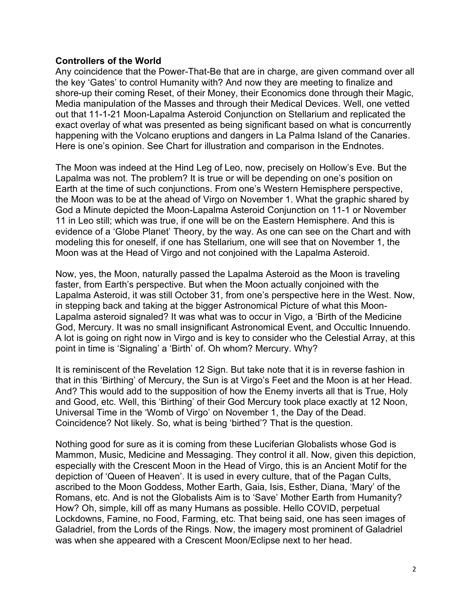#### **Controllers of the World**

Any coincidence that the Power-That-Be that are in charge, are given command over all the key 'Gates' to control Humanity with? And now they are meeting to finalize and shore-up their coming Reset, of their Money, their Economics done through their Magic, Media manipulation of the Masses and through their Medical Devices. Well, one vetted out that 11-1-21 Moon-Lapalma Asteroid Conjunction on Stellarium and replicated the exact overlay of what was presented as being significant based on what is concurrently happening with the Volcano eruptions and dangers in La Palma Island of the Canaries. Here is one's opinion. See Chart for illustration and comparison in the Endnotes.

The Moon was indeed at the Hind Leg of Leo, now, precisely on Hollow's Eve. But the Lapalma was not. The problem? It is true or will be depending on one's position on Earth at the time of such conjunctions. From one's Western Hemisphere perspective, the Moon was to be at the ahead of Virgo on November 1. What the graphic shared by God a Minute depicted the Moon-Lapalma Asteroid Conjunction on 11-1 or November 11 in Leo still; which was true, if one will be on the Eastern Hemisphere. And this is evidence of a 'Globe Planet' Theory, by the way. As one can see on the Chart and with modeling this for oneself, if one has Stellarium, one will see that on November 1, the Moon was at the Head of Virgo and not conjoined with the Lapalma Asteroid.

Now, yes, the Moon, naturally passed the Lapalma Asteroid as the Moon is traveling faster, from Earth's perspective. But when the Moon actually conjoined with the Lapalma Asteroid, it was still October 31, from one's perspective here in the West. Now, in stepping back and taking at the bigger Astronomical Picture of what this Moon-Lapalma asteroid signaled? It was what was to occur in Vigo, a 'Birth of the Medicine God, Mercury. It was no small insignificant Astronomical Event, and Occultic Innuendo. A lot is going on right now in Virgo and is key to consider who the Celestial Array, at this point in time is 'Signaling' a 'Birth' of. Oh whom? Mercury. Why?

It is reminiscent of the Revelation 12 Sign. But take note that it is in reverse fashion in that in this 'Birthing' of Mercury, the Sun is at Virgo's Feet and the Moon is at her Head. And? This would add to the supposition of how the Enemy inverts all that is True, Holy and Good, etc. Well, this 'Birthing' of their God Mercury took place exactly at 12 Noon, Universal Time in the 'Womb of Virgo' on November 1, the Day of the Dead. Coincidence? Not likely. So, what is being 'birthed'? That is the question.

Nothing good for sure as it is coming from these Luciferian Globalists whose God is Mammon, Music, Medicine and Messaging. They control it all. Now, given this depiction, especially with the Crescent Moon in the Head of Virgo, this is an Ancient Motif for the depiction of 'Queen of Heaven'. It is used in every culture, that of the Pagan Cults, ascribed to the Moon Goddess, Mother Earth, Gaia, Isis, Esther, Diana, 'Mary' of the Romans, etc. And is not the Globalists Aim is to 'Save' Mother Earth from Humanity? How? Oh, simple, kill off as many Humans as possible. Hello COVID, perpetual Lockdowns, Famine, no Food, Farming, etc. That being said, one has seen images of Galadriel, from the Lords of the Rings. Now, the imagery most prominent of Galadriel was when she appeared with a Crescent Moon/Eclipse next to her head.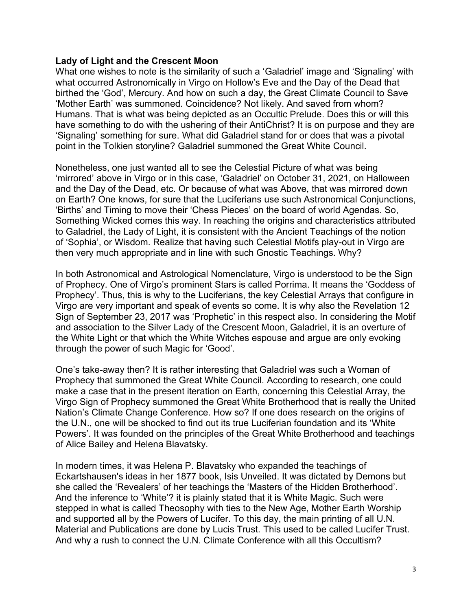#### **Lady of Light and the Crescent Moon**

What one wishes to note is the similarity of such a 'Galadriel' image and 'Signaling' with what occurred Astronomically in Virgo on Hollow's Eve and the Day of the Dead that birthed the 'God', Mercury. And how on such a day, the Great Climate Council to Save 'Mother Earth' was summoned. Coincidence? Not likely. And saved from whom? Humans. That is what was being depicted as an Occultic Prelude. Does this or will this have something to do with the ushering of their AntiChrist? It is on purpose and they are 'Signaling' something for sure. What did Galadriel stand for or does that was a pivotal point in the Tolkien storyline? Galadriel summoned the Great White Council.

Nonetheless, one just wanted all to see the Celestial Picture of what was being 'mirrored' above in Virgo or in this case, 'Galadriel' on October 31, 2021, on Halloween and the Day of the Dead, etc. Or because of what was Above, that was mirrored down on Earth? One knows, for sure that the Luciferians use such Astronomical Conjunctions, 'Births' and Timing to move their 'Chess Pieces' on the board of world Agendas. So, Something Wicked comes this way. In reaching the origins and characteristics attributed to Galadriel, the Lady of Light, it is consistent with the Ancient Teachings of the notion of 'Sophia', or Wisdom. Realize that having such Celestial Motifs play-out in Virgo are then very much appropriate and in line with such Gnostic Teachings. Why?

In both Astronomical and Astrological Nomenclature, Virgo is understood to be the Sign of Prophecy. One of Virgo's prominent Stars is called Porrima. It means the 'Goddess of Prophecy'. Thus, this is why to the Luciferians, the key Celestial Arrays that configure in Virgo are very important and speak of events so come. It is why also the Revelation 12 Sign of September 23, 2017 was 'Prophetic' in this respect also. In considering the Motif and association to the Silver Lady of the Crescent Moon, Galadriel, it is an overture of the White Light or that which the White Witches espouse and argue are only evoking through the power of such Magic for 'Good'.

One's take-away then? It is rather interesting that Galadriel was such a Woman of Prophecy that summoned the Great White Council. According to research, one could make a case that in the present iteration on Earth, concerning this Celestial Array, the Virgo Sign of Prophecy summoned the Great White Brotherhood that is really the United Nation's Climate Change Conference. How so? If one does research on the origins of the U.N., one will be shocked to find out its true Luciferian foundation and its 'White Powers'. It was founded on the principles of the Great White Brotherhood and teachings of Alice Bailey and Helena Blavatsky.

In modern times, it was Helena P. Blavatsky who expanded the teachings of Eckartshausen's ideas in her 1877 book, Isis Unveiled. It was dictated by Demons but she called the 'Revealers' of her teachings the 'Masters of the Hidden Brotherhood'. And the inference to 'White'? it is plainly stated that it is White Magic. Such were stepped in what is called Theosophy with ties to the New Age, Mother Earth Worship and supported all by the Powers of Lucifer. To this day, the main printing of all U.N. Material and Publications are done by Lucis Trust. This used to be called Lucifer Trust. And why a rush to connect the U.N. Climate Conference with all this Occultism?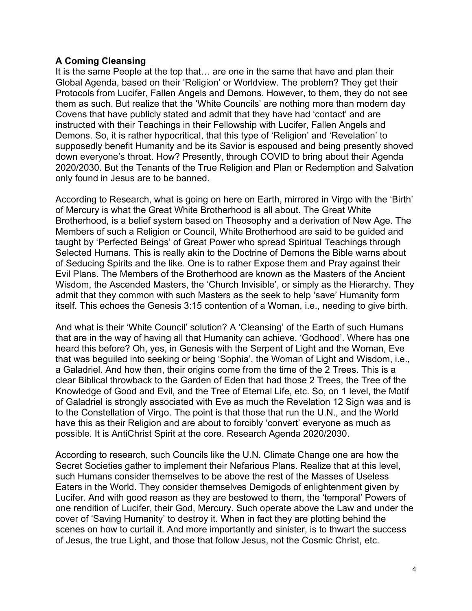### **A Coming Cleansing**

It is the same People at the top that… are one in the same that have and plan their Global Agenda, based on their 'Religion' or Worldview. The problem? They get their Protocols from Lucifer, Fallen Angels and Demons. However, to them, they do not see them as such. But realize that the 'White Councils' are nothing more than modern day Covens that have publicly stated and admit that they have had 'contact' and are instructed with their Teachings in their Fellowship with Lucifer, Fallen Angels and Demons. So, it is rather hypocritical, that this type of 'Religion' and 'Revelation' to supposedly benefit Humanity and be its Savior is espoused and being presently shoved down everyone's throat. How? Presently, through COVID to bring about their Agenda 2020/2030. But the Tenants of the True Religion and Plan or Redemption and Salvation only found in Jesus are to be banned.

According to Research, what is going on here on Earth, mirrored in Virgo with the 'Birth' of Mercury is what the Great White Brotherhood is all about. The Great White Brotherhood, is a belief system based on Theosophy and a derivation of New Age. The Members of such a Religion or Council, White Brotherhood are said to be guided and taught by 'Perfected Beings' of Great Power who spread Spiritual Teachings through Selected Humans. This is really akin to the Doctrine of Demons the Bible warns about of Seducing Spirits and the like. One is to rather Expose them and Pray against their Evil Plans. The Members of the Brotherhood are known as the Masters of the Ancient Wisdom, the Ascended Masters, the 'Church Invisible', or simply as the Hierarchy. They admit that they common with such Masters as the seek to help 'save' Humanity form itself. This echoes the Genesis 3:15 contention of a Woman, i.e., needing to give birth.

And what is their 'White Council' solution? A 'Cleansing' of the Earth of such Humans that are in the way of having all that Humanity can achieve, 'Godhood'. Where has one heard this before? Oh, yes, in Genesis with the Serpent of Light and the Woman, Eve that was beguiled into seeking or being 'Sophia', the Woman of Light and Wisdom, i.e., a Galadriel. And how then, their origins come from the time of the 2 Trees. This is a clear Biblical throwback to the Garden of Eden that had those 2 Trees, the Tree of the Knowledge of Good and Evil, and the Tree of Eternal Life, etc. So, on 1 level, the Motif of Galadriel is strongly associated with Eve as much the Revelation 12 Sign was and is to the Constellation of Virgo. The point is that those that run the U.N., and the World have this as their Religion and are about to forcibly 'convert' everyone as much as possible. It is AntiChrist Spirit at the core. Research Agenda 2020/2030.

According to research, such Councils like the U.N. Climate Change one are how the Secret Societies gather to implement their Nefarious Plans. Realize that at this level, such Humans consider themselves to be above the rest of the Masses of Useless Eaters in the World. They consider themselves Demigods of enlightenment given by Lucifer. And with good reason as they are bestowed to them, the 'temporal' Powers of one rendition of Lucifer, their God, Mercury. Such operate above the Law and under the cover of 'Saving Humanity' to destroy it. When in fact they are plotting behind the scenes on how to curtail it. And more importantly and sinister, is to thwart the success of Jesus, the true Light, and those that follow Jesus, not the Cosmic Christ, etc.